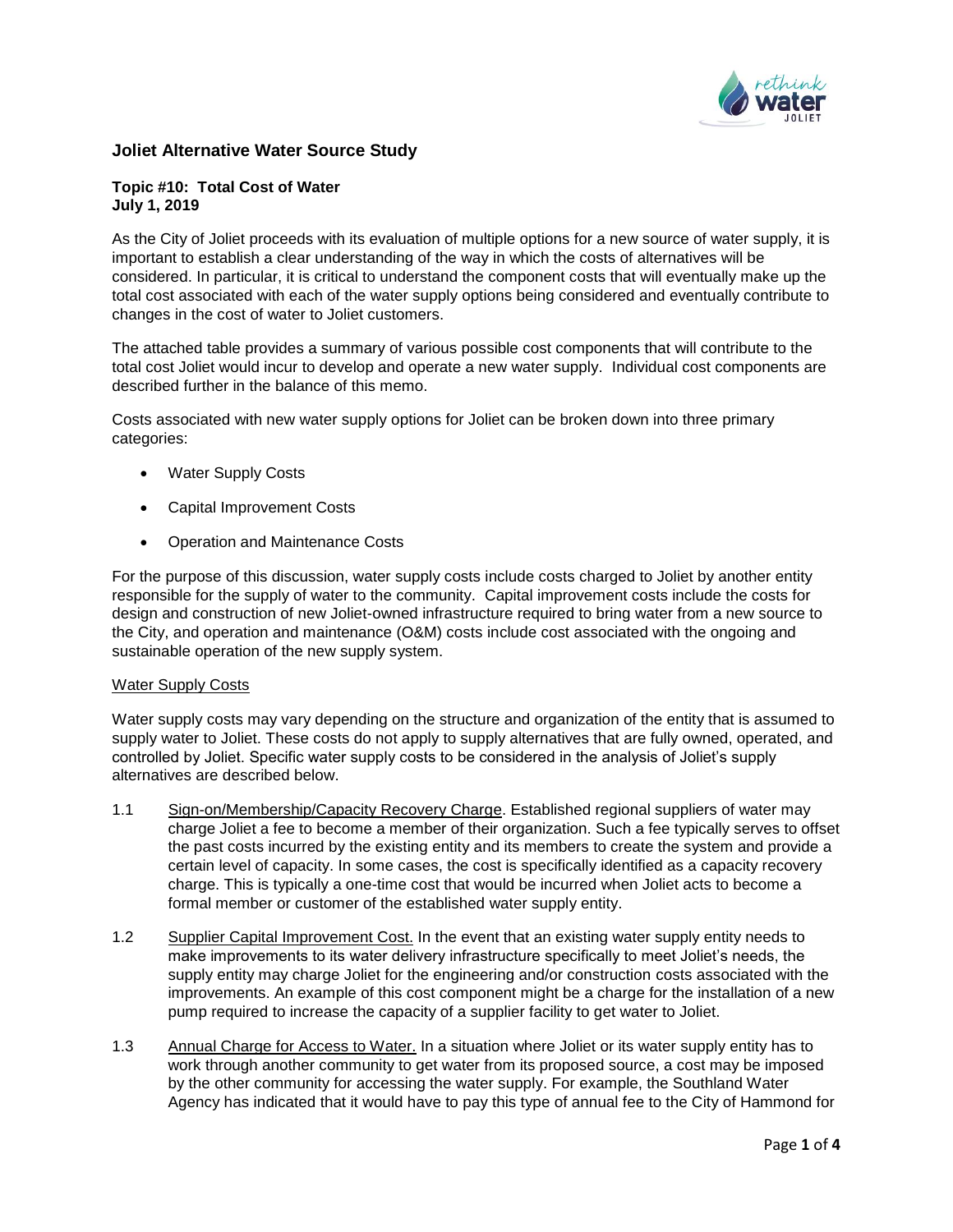

## **Joliet Alternative Water Source Study**

### **Topic #10: Total Cost of Water July 1, 2019**

As the City of Joliet proceeds with its evaluation of multiple options for a new source of water supply, it is important to establish a clear understanding of the way in which the costs of alternatives will be considered. In particular, it is critical to understand the component costs that will eventually make up the total cost associated with each of the water supply options being considered and eventually contribute to changes in the cost of water to Joliet customers.

The attached table provides a summary of various possible cost components that will contribute to the total cost Joliet would incur to develop and operate a new water supply. Individual cost components are described further in the balance of this memo.

Costs associated with new water supply options for Joliet can be broken down into three primary categories:

- Water Supply Costs
- Capital Improvement Costs
- Operation and Maintenance Costs

For the purpose of this discussion, water supply costs include costs charged to Joliet by another entity responsible for the supply of water to the community. Capital improvement costs include the costs for design and construction of new Joliet-owned infrastructure required to bring water from a new source to the City, and operation and maintenance (O&M) costs include cost associated with the ongoing and sustainable operation of the new supply system.

### Water Supply Costs

Water supply costs may vary depending on the structure and organization of the entity that is assumed to supply water to Joliet. These costs do not apply to supply alternatives that are fully owned, operated, and controlled by Joliet. Specific water supply costs to be considered in the analysis of Joliet's supply alternatives are described below.

- 1.1 Sign-on/Membership/Capacity Recovery Charge. Established regional suppliers of water may charge Joliet a fee to become a member of their organization. Such a fee typically serves to offset the past costs incurred by the existing entity and its members to create the system and provide a certain level of capacity. In some cases, the cost is specifically identified as a capacity recovery charge. This is typically a one-time cost that would be incurred when Joliet acts to become a formal member or customer of the established water supply entity.
- 1.2 Supplier Capital Improvement Cost. In the event that an existing water supply entity needs to make improvements to its water delivery infrastructure specifically to meet Joliet's needs, the supply entity may charge Joliet for the engineering and/or construction costs associated with the improvements. An example of this cost component might be a charge for the installation of a new pump required to increase the capacity of a supplier facility to get water to Joliet.
- 1.3 Annual Charge for Access to Water. In a situation where Joliet or its water supply entity has to work through another community to get water from its proposed source, a cost may be imposed by the other community for accessing the water supply. For example, the Southland Water Agency has indicated that it would have to pay this type of annual fee to the City of Hammond for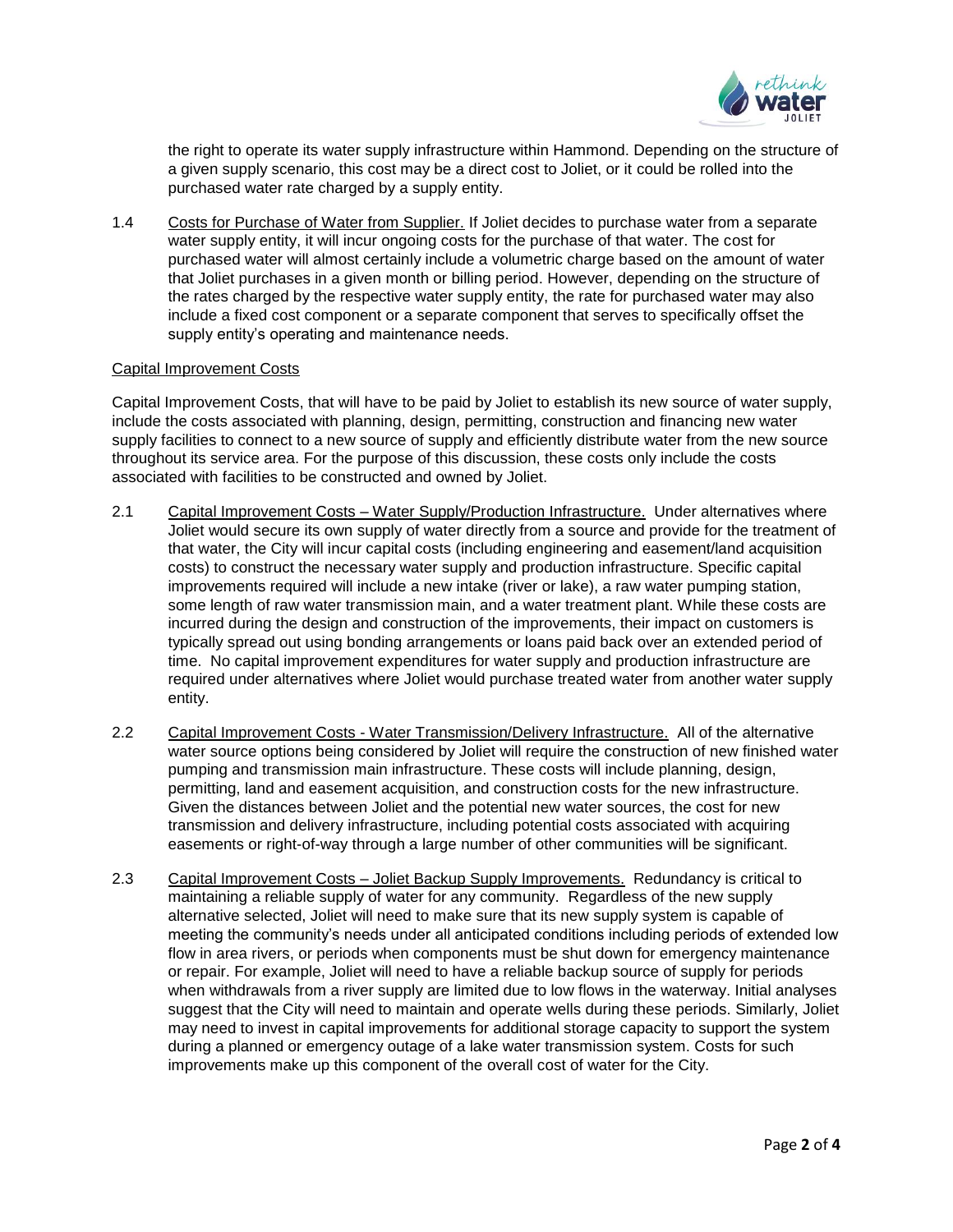

the right to operate its water supply infrastructure within Hammond. Depending on the structure of a given supply scenario, this cost may be a direct cost to Joliet, or it could be rolled into the purchased water rate charged by a supply entity.

1.4 Costs for Purchase of Water from Supplier. If Joliet decides to purchase water from a separate water supply entity, it will incur ongoing costs for the purchase of that water. The cost for purchased water will almost certainly include a volumetric charge based on the amount of water that Joliet purchases in a given month or billing period. However, depending on the structure of the rates charged by the respective water supply entity, the rate for purchased water may also include a fixed cost component or a separate component that serves to specifically offset the supply entity's operating and maintenance needs.

### Capital Improvement Costs

Capital Improvement Costs, that will have to be paid by Joliet to establish its new source of water supply, include the costs associated with planning, design, permitting, construction and financing new water supply facilities to connect to a new source of supply and efficiently distribute water from the new source throughout its service area. For the purpose of this discussion, these costs only include the costs associated with facilities to be constructed and owned by Joliet.

- 2.1 Capital Improvement Costs Water Supply/Production Infrastructure. Under alternatives where Joliet would secure its own supply of water directly from a source and provide for the treatment of that water, the City will incur capital costs (including engineering and easement/land acquisition costs) to construct the necessary water supply and production infrastructure. Specific capital improvements required will include a new intake (river or lake), a raw water pumping station, some length of raw water transmission main, and a water treatment plant. While these costs are incurred during the design and construction of the improvements, their impact on customers is typically spread out using bonding arrangements or loans paid back over an extended period of time. No capital improvement expenditures for water supply and production infrastructure are required under alternatives where Joliet would purchase treated water from another water supply entity.
- 2.2 Capital Improvement Costs Water Transmission/Delivery Infrastructure. All of the alternative water source options being considered by Joliet will require the construction of new finished water pumping and transmission main infrastructure. These costs will include planning, design, permitting, land and easement acquisition, and construction costs for the new infrastructure. Given the distances between Joliet and the potential new water sources, the cost for new transmission and delivery infrastructure, including potential costs associated with acquiring easements or right-of-way through a large number of other communities will be significant.
- 2.3 Capital Improvement Costs Joliet Backup Supply Improvements. Redundancy is critical to maintaining a reliable supply of water for any community. Regardless of the new supply alternative selected, Joliet will need to make sure that its new supply system is capable of meeting the community's needs under all anticipated conditions including periods of extended low flow in area rivers, or periods when components must be shut down for emergency maintenance or repair. For example, Joliet will need to have a reliable backup source of supply for periods when withdrawals from a river supply are limited due to low flows in the waterway. Initial analyses suggest that the City will need to maintain and operate wells during these periods. Similarly, Joliet may need to invest in capital improvements for additional storage capacity to support the system during a planned or emergency outage of a lake water transmission system. Costs for such improvements make up this component of the overall cost of water for the City.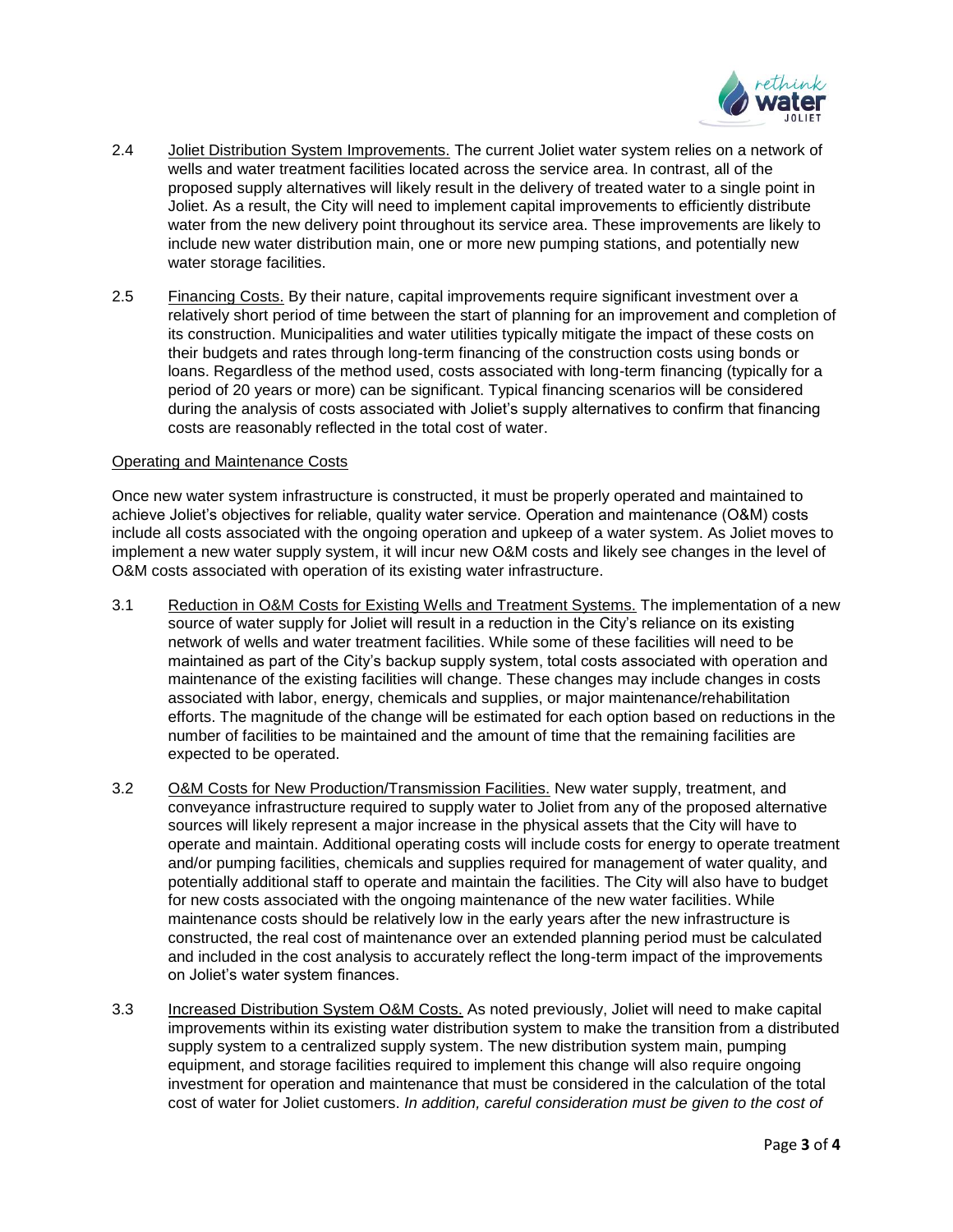

- 2.4 Joliet Distribution System Improvements. The current Joliet water system relies on a network of wells and water treatment facilities located across the service area. In contrast, all of the proposed supply alternatives will likely result in the delivery of treated water to a single point in Joliet. As a result, the City will need to implement capital improvements to efficiently distribute water from the new delivery point throughout its service area. These improvements are likely to include new water distribution main, one or more new pumping stations, and potentially new water storage facilities.
- 2.5 **Financing Costs.** By their nature, capital improvements require significant investment over a relatively short period of time between the start of planning for an improvement and completion of its construction. Municipalities and water utilities typically mitigate the impact of these costs on their budgets and rates through long-term financing of the construction costs using bonds or loans. Regardless of the method used, costs associated with long-term financing (typically for a period of 20 years or more) can be significant. Typical financing scenarios will be considered during the analysis of costs associated with Joliet's supply alternatives to confirm that financing costs are reasonably reflected in the total cost of water.

#### Operating and Maintenance Costs

Once new water system infrastructure is constructed, it must be properly operated and maintained to achieve Joliet's objectives for reliable, quality water service. Operation and maintenance (O&M) costs include all costs associated with the ongoing operation and upkeep of a water system. As Joliet moves to implement a new water supply system, it will incur new O&M costs and likely see changes in the level of O&M costs associated with operation of its existing water infrastructure.

- 3.1 Reduction in O&M Costs for Existing Wells and Treatment Systems. The implementation of a new source of water supply for Joliet will result in a reduction in the City's reliance on its existing network of wells and water treatment facilities. While some of these facilities will need to be maintained as part of the City's backup supply system, total costs associated with operation and maintenance of the existing facilities will change. These changes may include changes in costs associated with labor, energy, chemicals and supplies, or major maintenance/rehabilitation efforts. The magnitude of the change will be estimated for each option based on reductions in the number of facilities to be maintained and the amount of time that the remaining facilities are expected to be operated.
- 3.2 O&M Costs for New Production/Transmission Facilities. New water supply, treatment, and conveyance infrastructure required to supply water to Joliet from any of the proposed alternative sources will likely represent a major increase in the physical assets that the City will have to operate and maintain. Additional operating costs will include costs for energy to operate treatment and/or pumping facilities, chemicals and supplies required for management of water quality, and potentially additional staff to operate and maintain the facilities. The City will also have to budget for new costs associated with the ongoing maintenance of the new water facilities. While maintenance costs should be relatively low in the early years after the new infrastructure is constructed, the real cost of maintenance over an extended planning period must be calculated and included in the cost analysis to accurately reflect the long-term impact of the improvements on Joliet's water system finances.
- 3.3 Increased Distribution System O&M Costs. As noted previously, Joliet will need to make capital improvements within its existing water distribution system to make the transition from a distributed supply system to a centralized supply system. The new distribution system main, pumping equipment, and storage facilities required to implement this change will also require ongoing investment for operation and maintenance that must be considered in the calculation of the total cost of water for Joliet customers. *In addition, careful consideration must be given to the cost of*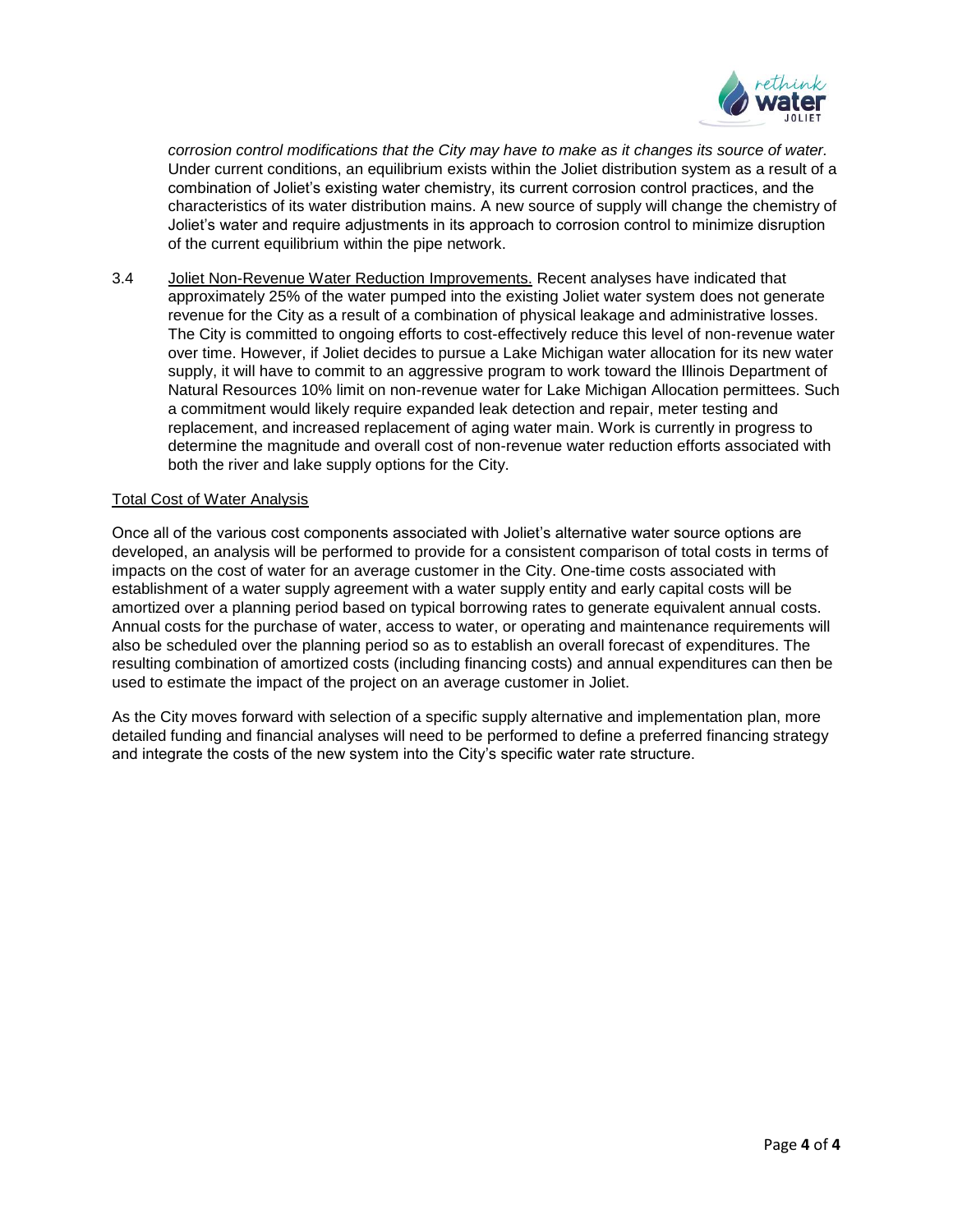

*corrosion control modifications that the City may have to make as it changes its source of water.* Under current conditions, an equilibrium exists within the Joliet distribution system as a result of a combination of Joliet's existing water chemistry, its current corrosion control practices, and the characteristics of its water distribution mains. A new source of supply will change the chemistry of Joliet's water and require adjustments in its approach to corrosion control to minimize disruption of the current equilibrium within the pipe network.

3.4 Joliet Non-Revenue Water Reduction Improvements. Recent analyses have indicated that approximately 25% of the water pumped into the existing Joliet water system does not generate revenue for the City as a result of a combination of physical leakage and administrative losses. The City is committed to ongoing efforts to cost-effectively reduce this level of non-revenue water over time. However, if Joliet decides to pursue a Lake Michigan water allocation for its new water supply, it will have to commit to an aggressive program to work toward the Illinois Department of Natural Resources 10% limit on non-revenue water for Lake Michigan Allocation permittees. Such a commitment would likely require expanded leak detection and repair, meter testing and replacement, and increased replacement of aging water main. Work is currently in progress to determine the magnitude and overall cost of non-revenue water reduction efforts associated with both the river and lake supply options for the City.

### Total Cost of Water Analysis

Once all of the various cost components associated with Joliet's alternative water source options are developed, an analysis will be performed to provide for a consistent comparison of total costs in terms of impacts on the cost of water for an average customer in the City. One-time costs associated with establishment of a water supply agreement with a water supply entity and early capital costs will be amortized over a planning period based on typical borrowing rates to generate equivalent annual costs. Annual costs for the purchase of water, access to water, or operating and maintenance requirements will also be scheduled over the planning period so as to establish an overall forecast of expenditures. The resulting combination of amortized costs (including financing costs) and annual expenditures can then be used to estimate the impact of the project on an average customer in Joliet.

As the City moves forward with selection of a specific supply alternative and implementation plan, more detailed funding and financial analyses will need to be performed to define a preferred financing strategy and integrate the costs of the new system into the City's specific water rate structure.